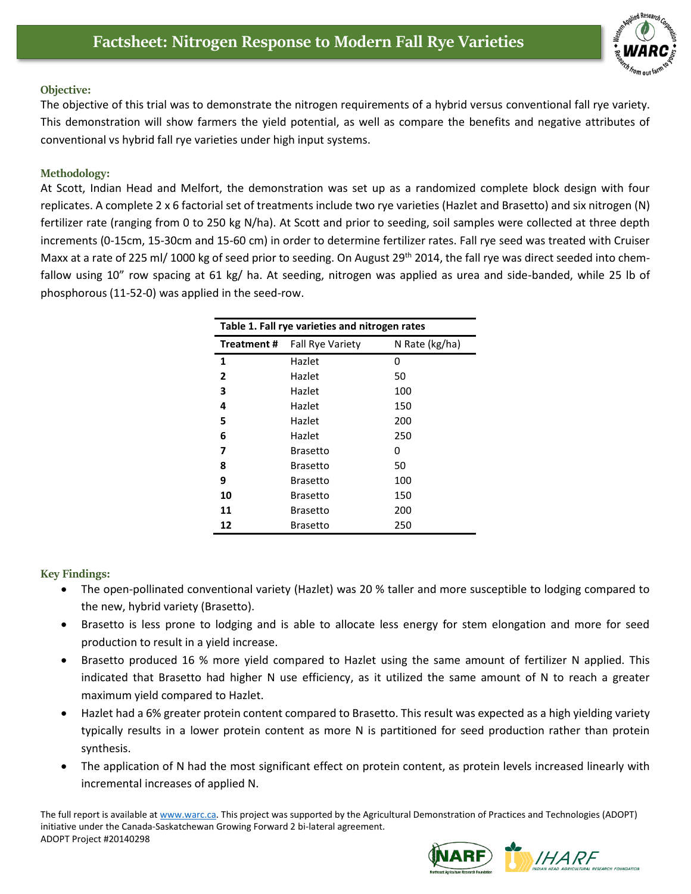

## **Objective:**

The objective of this trial was to demonstrate the nitrogen requirements of a hybrid versus conventional fall rye variety. This demonstration will show farmers the yield potential, as well as compare the benefits and negative attributes of conventional vs hybrid fall rye varieties under high input systems.

## **Methodology:**

At Scott, Indian Head and Melfort, the demonstration was set up as a randomized complete block design with four replicates. A complete 2 x 6 factorial set of treatments include two rye varieties (Hazlet and Brasetto) and six nitrogen (N) fertilizer rate (ranging from 0 to 250 kg N/ha). At Scott and prior to seeding, soil samples were collected at three depth increments (0-15cm, 15-30cm and 15-60 cm) in order to determine fertilizer rates. Fall rye seed was treated with Cruiser Maxx at a rate of 225 ml/ 1000 kg of seed prior to seeding. On August 29<sup>th</sup> 2014, the fall rye was direct seeded into chemfallow using 10" row spacing at 61 kg/ ha. At seeding, nitrogen was applied as urea and side-banded, while 25 lb of phosphorous (11-52-0) was applied in the seed-row.

| Table 1. Fall rye varieties and nitrogen rates |                         |                |
|------------------------------------------------|-------------------------|----------------|
| Treatment#                                     | <b>Fall Rye Variety</b> | N Rate (kg/ha) |
| 1                                              | Hazlet                  | 0              |
| 2                                              | Hazlet                  | 50             |
| 3                                              | Hazlet                  | 100            |
| 4                                              | Hazlet                  | 150            |
| 5                                              | Hazlet                  | 200            |
| 6                                              | Hazlet                  | 250            |
| 7                                              | Brasetto                | 0              |
| 8                                              | Brasetto                | 50             |
| 9                                              | Brasetto                | 100            |
| 10                                             | <b>Brasetto</b>         | 150            |
| 11                                             | Brasetto                | 200            |
| 12                                             | Brasetto                | 250            |

## **Key Findings:**

- The open-pollinated conventional variety (Hazlet) was 20 % taller and more susceptible to lodging compared to the new, hybrid variety (Brasetto).
- Brasetto is less prone to lodging and is able to allocate less energy for stem elongation and more for seed production to result in a yield increase.
- Brasetto produced 16 % more yield compared to Hazlet using the same amount of fertilizer N applied. This indicated that Brasetto had higher N use efficiency, as it utilized the same amount of N to reach a greater maximum yield compared to Hazlet.
- Hazlet had a 6% greater protein content compared to Brasetto. This result was expected as a high yielding variety typically results in a lower protein content as more N is partitioned for seed production rather than protein synthesis.
- The application of N had the most significant effect on protein content, as protein levels increased linearly with incremental increases of applied N.

The full report is available at [www.warc.ca.](http://www.warc.ca/) This project was supported by the Agricultural Demonstration of Practices and Technologies (ADOPT) initiative under the Canada-Saskatchewan Growing Forward 2 bi-lateral agreement. ADOPT Project #20140298